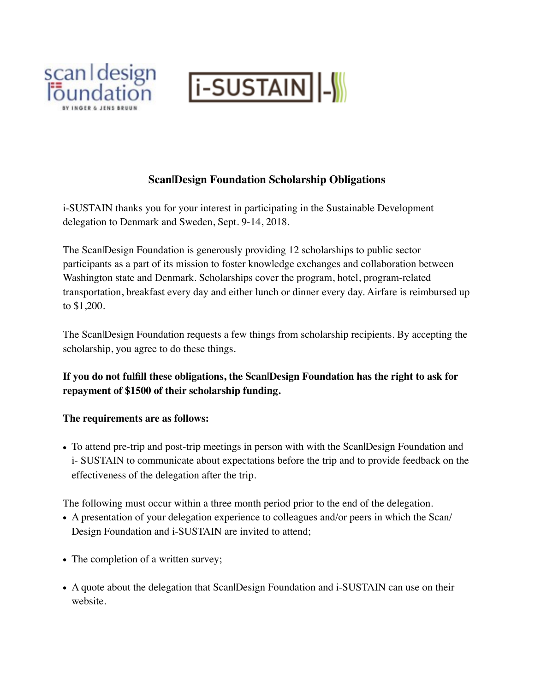



## **Scan|Design Foundation Scholarship Obligations**

i-SUSTAIN thanks you for your interest in participating in the Sustainable Development delegation to Denmark and Sweden, Sept. 9-14, 2018.

The Scan|Design Foundation is generously providing 12 scholarships to public sector participants as a part of its mission to foster knowledge exchanges and collaboration between Washington state and Denmark. Scholarships cover the program, hotel, program-related transportation, breakfast every day and either lunch or dinner every day. Airfare is reimbursed up to \$1,200.

The Scan|Design Foundation requests a few things from scholarship recipients. By accepting the scholarship, you agree to do these things.

## **If you do not fulfill these obligations, the Scan|Design Foundation has the right to ask for repayment of \$1500 of their scholarship funding.**

## **The requirements are as follows:**

• To attend pre-trip and post-trip meetings in person with with the ScanlDesign Foundation and i- SUSTAIN to communicate about expectations before the trip and to provide feedback on the effectiveness of the delegation after the trip.

The following must occur within a three month period prior to the end of the delegation.

- A presentation of your delegation experience to colleagues and/or peers in which the Scan/ Design Foundation and i-SUSTAIN are invited to attend;
- The completion of a written survey;
- A quote about the delegation that Scan|Design Foundation and i-SUSTAIN can use on their website.